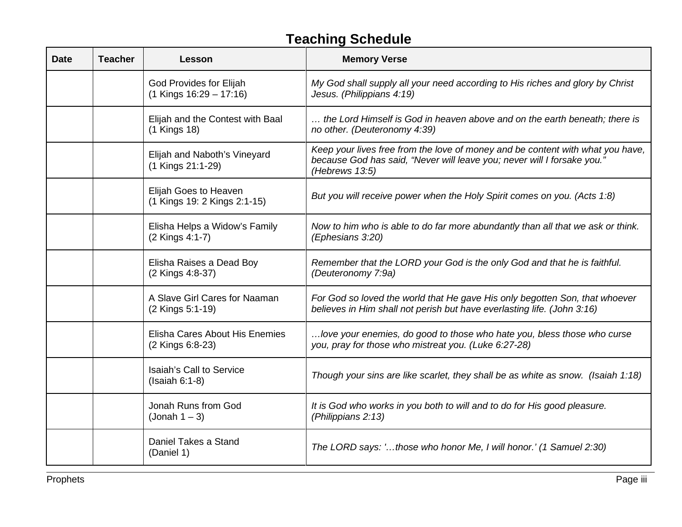## **Teaching Schedule**

| <b>Date</b> | <b>Teacher</b> | Lesson                                                 | <b>Memory Verse</b>                                                                                                                                                         |
|-------------|----------------|--------------------------------------------------------|-----------------------------------------------------------------------------------------------------------------------------------------------------------------------------|
|             |                | God Provides for Elijah<br>$(1$ Kings $16:29 - 17:16)$ | My God shall supply all your need according to His riches and glory by Christ<br>Jesus. (Philippians 4:19)                                                                  |
|             |                | Elijah and the Contest with Baal<br>(1 Kings 18)       | the Lord Himself is God in heaven above and on the earth beneath; there is<br>no other. (Deuteronomy 4:39)                                                                  |
|             |                | Elijah and Naboth's Vineyard<br>(1 Kings 21:1-29)      | Keep your lives free from the love of money and be content with what you have,<br>because God has said, "Never will leave you; never will I forsake you."<br>(Hebrews 13:5) |
|             |                | Elijah Goes to Heaven<br>(1 Kings 19: 2 Kings 2:1-15)  | But you will receive power when the Holy Spirit comes on you. (Acts 1:8)                                                                                                    |
|             |                | Elisha Helps a Widow's Family<br>(2 Kings 4:1-7)       | Now to him who is able to do far more abundantly than all that we ask or think.<br>(Ephesians 3:20)                                                                         |
|             |                | Elisha Raises a Dead Boy<br>(2 Kings 4:8-37)           | Remember that the LORD your God is the only God and that he is faithful.<br>(Deuteronomy 7:9a)                                                                              |
|             |                | A Slave Girl Cares for Naaman<br>(2 Kings 5:1-19)      | For God so loved the world that He gave His only begotten Son, that whoever<br>believes in Him shall not perish but have everlasting life. (John 3:16)                      |
|             |                | Elisha Cares About His Enemies<br>(2 Kings 6:8-23)     | love your enemies, do good to those who hate you, bless those who curse<br>you, pray for those who mistreat you. (Luke 6:27-28)                                             |
|             |                | Isaiah's Call to Service<br>$(Isaiah 6:1-8)$           | Though your sins are like scarlet, they shall be as white as snow. (Isaiah 1:18)                                                                                            |
|             |                | Jonah Runs from God<br>(Johnah 1 – 3)                  | It is God who works in you both to will and to do for His good pleasure.<br>(Philippians 2:13)                                                                              |
|             |                | Daniel Takes a Stand<br>(Daniel 1)                     | The LORD says: 'those who honor Me, I will honor.' (1 Samuel 2:30)                                                                                                          |